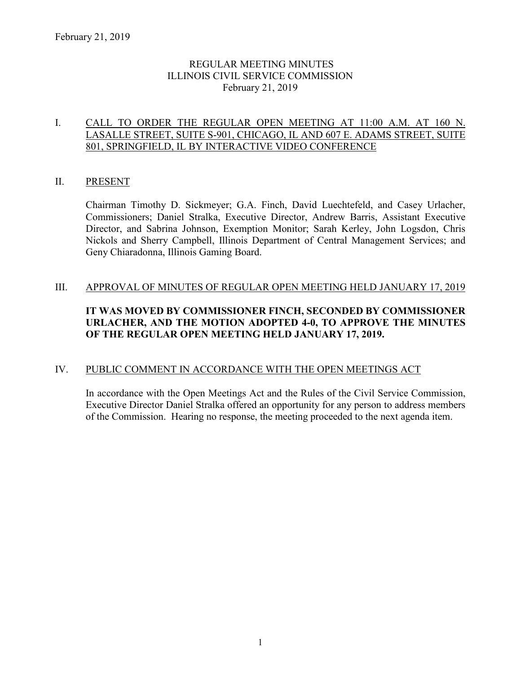### REGULAR MEETING MINUTES ILLINOIS CIVIL SERVICE COMMISSION February 21, 2019

### I. CALL TO ORDER THE REGULAR OPEN MEETING AT 11:00 A.M. AT 160 N. LASALLE STREET, SUITE S-901, CHICAGO, IL AND 607 E. ADAMS STREET, SUITE 801, SPRINGFIELD, IL BY INTERACTIVE VIDEO CONFERENCE

### II. PRESENT

Chairman Timothy D. Sickmeyer; G.A. Finch, David Luechtefeld, and Casey Urlacher, Commissioners; Daniel Stralka, Executive Director, Andrew Barris, Assistant Executive Director, and Sabrina Johnson, Exemption Monitor; Sarah Kerley, John Logsdon, Chris Nickols and Sherry Campbell, Illinois Department of Central Management Services; and Geny Chiaradonna, Illinois Gaming Board.

### III. APPROVAL OF MINUTES OF REGULAR OPEN MEETING HELD JANUARY 17, 2019

# **IT WAS MOVED BY COMMISSIONER FINCH, SECONDED BY COMMISSIONER URLACHER, AND THE MOTION ADOPTED 4-0, TO APPROVE THE MINUTES OF THE REGULAR OPEN MEETING HELD JANUARY 17, 2019.**

#### IV. PUBLIC COMMENT IN ACCORDANCE WITH THE OPEN MEETINGS ACT

In accordance with the Open Meetings Act and the Rules of the Civil Service Commission, Executive Director Daniel Stralka offered an opportunity for any person to address members of the Commission. Hearing no response, the meeting proceeded to the next agenda item.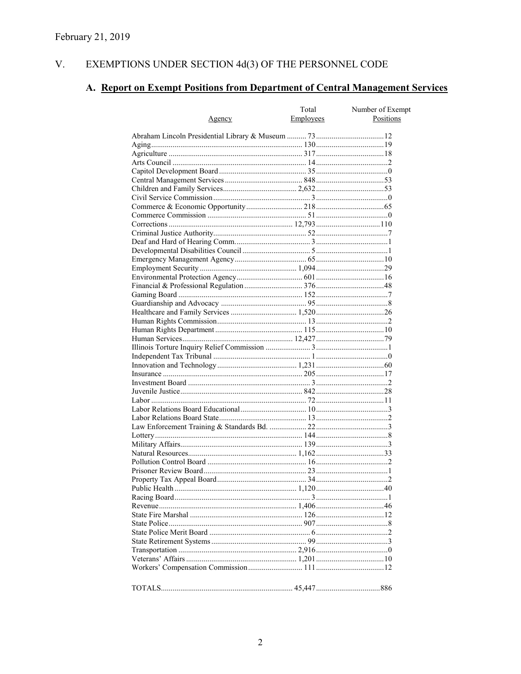#### V. EXEMPTIONS UNDER SECTION  $4d(3)$  OF THE PERSONNEL CODE

# A. Report on Exempt Positions from Department of Central Management Services

| Agency | Total<br><b>Employees</b> | Number of Exempt<br>Positions |
|--------|---------------------------|-------------------------------|
|        |                           |                               |
|        |                           |                               |
|        |                           |                               |
|        |                           |                               |
|        |                           |                               |
|        |                           |                               |
|        |                           |                               |
|        |                           |                               |
|        |                           |                               |
|        |                           |                               |
|        |                           |                               |
|        |                           |                               |
|        |                           |                               |
|        |                           |                               |
|        |                           |                               |
|        |                           |                               |
|        |                           |                               |
|        |                           |                               |
|        |                           |                               |
|        |                           |                               |
|        |                           |                               |
|        |                           |                               |
|        |                           |                               |
|        |                           |                               |
|        |                           |                               |
|        |                           |                               |
|        |                           |                               |
|        |                           |                               |
|        |                           |                               |
|        |                           |                               |
|        |                           |                               |
|        |                           |                               |
|        |                           |                               |
|        |                           |                               |
|        |                           |                               |
|        |                           |                               |
|        |                           |                               |
|        |                           |                               |
|        |                           |                               |
|        |                           |                               |
|        |                           |                               |
|        |                           |                               |
|        |                           |                               |
|        |                           |                               |
|        |                           |                               |
|        |                           |                               |
|        |                           |                               |
|        |                           |                               |
|        |                           |                               |
|        |                           |                               |
|        |                           |                               |
|        |                           |                               |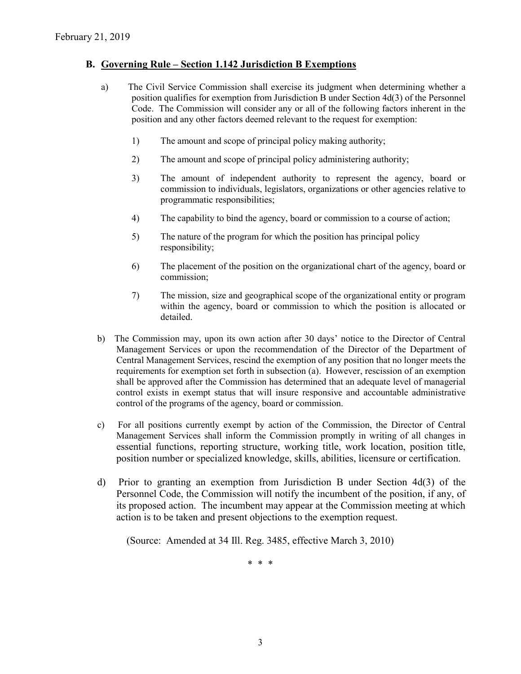### **B. Governing Rule – Section 1.142 Jurisdiction B Exemptions**

- a) The Civil Service Commission shall exercise its judgment when determining whether a position qualifies for exemption from Jurisdiction B under Section 4d(3) of the Personnel Code. The Commission will consider any or all of the following factors inherent in the position and any other factors deemed relevant to the request for exemption:
	- 1) The amount and scope of principal policy making authority;
	- 2) The amount and scope of principal policy administering authority;
	- 3) The amount of independent authority to represent the agency, board or commission to individuals, legislators, organizations or other agencies relative to programmatic responsibilities;
	- 4) The capability to bind the agency, board or commission to a course of action;
	- 5) The nature of the program for which the position has principal policy responsibility;
	- 6) The placement of the position on the organizational chart of the agency, board or commission;
	- 7) The mission, size and geographical scope of the organizational entity or program within the agency, board or commission to which the position is allocated or detailed.
- b) The Commission may, upon its own action after 30 days' notice to the Director of Central Management Services or upon the recommendation of the Director of the Department of Central Management Services, rescind the exemption of any position that no longer meets the requirements for exemption set forth in subsection (a). However, rescission of an exemption shall be approved after the Commission has determined that an adequate level of managerial control exists in exempt status that will insure responsive and accountable administrative control of the programs of the agency, board or commission.
- c) For all positions currently exempt by action of the Commission, the Director of Central Management Services shall inform the Commission promptly in writing of all changes in essential functions, reporting structure, working title, work location, position title, position number or specialized knowledge, skills, abilities, licensure or certification.
- d) Prior to granting an exemption from Jurisdiction B under Section 4d(3) of the Personnel Code, the Commission will notify the incumbent of the position, if any, of its proposed action. The incumbent may appear at the Commission meeting at which action is to be taken and present objections to the exemption request.

(Source: Amended at 34 Ill. Reg. 3485, effective March 3, 2010)

\* \* \*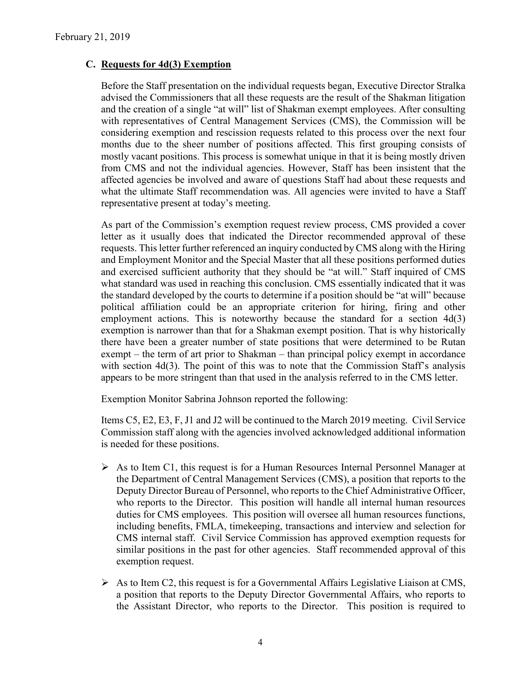### **C. Requests for 4d(3) Exemption**

Before the Staff presentation on the individual requests began, Executive Director Stralka advised the Commissioners that all these requests are the result of the Shakman litigation and the creation of a single "at will" list of Shakman exempt employees. After consulting with representatives of Central Management Services (CMS), the Commission will be considering exemption and rescission requests related to this process over the next four months due to the sheer number of positions affected. This first grouping consists of mostly vacant positions. This process is somewhat unique in that it is being mostly driven from CMS and not the individual agencies. However, Staff has been insistent that the affected agencies be involved and aware of questions Staff had about these requests and what the ultimate Staff recommendation was. All agencies were invited to have a Staff representative present at today's meeting.

As part of the Commission's exemption request review process, CMS provided a cover letter as it usually does that indicated the Director recommended approval of these requests. This letter further referenced an inquiry conducted by CMS along with the Hiring and Employment Monitor and the Special Master that all these positions performed duties and exercised sufficient authority that they should be "at will." Staff inquired of CMS what standard was used in reaching this conclusion. CMS essentially indicated that it was the standard developed by the courts to determine if a position should be "at will" because political affiliation could be an appropriate criterion for hiring, firing and other employment actions. This is noteworthy because the standard for a section 4d(3) exemption is narrower than that for a Shakman exempt position. That is why historically there have been a greater number of state positions that were determined to be Rutan exempt – the term of art prior to Shakman – than principal policy exempt in accordance with section 4d(3). The point of this was to note that the Commission Staff's analysis appears to be more stringent than that used in the analysis referred to in the CMS letter.

Exemption Monitor Sabrina Johnson reported the following:

Items C5, E2, E3, F, J1 and J2 will be continued to the March 2019 meeting. Civil Service Commission staff along with the agencies involved acknowledged additional information is needed for these positions.

- $\triangleright$  As to Item C1, this request is for a Human Resources Internal Personnel Manager at the Department of Central Management Services (CMS), a position that reports to the Deputy Director Bureau of Personnel, who reports to the Chief Administrative Officer, who reports to the Director. This position will handle all internal human resources duties for CMS employees. This position will oversee all human resources functions, including benefits, FMLA, timekeeping, transactions and interview and selection for CMS internal staff. Civil Service Commission has approved exemption requests for similar positions in the past for other agencies. Staff recommended approval of this exemption request.
- $\triangleright$  As to Item C2, this request is for a Governmental Affairs Legislative Liaison at CMS, a position that reports to the Deputy Director Governmental Affairs, who reports to the Assistant Director, who reports to the Director. This position is required to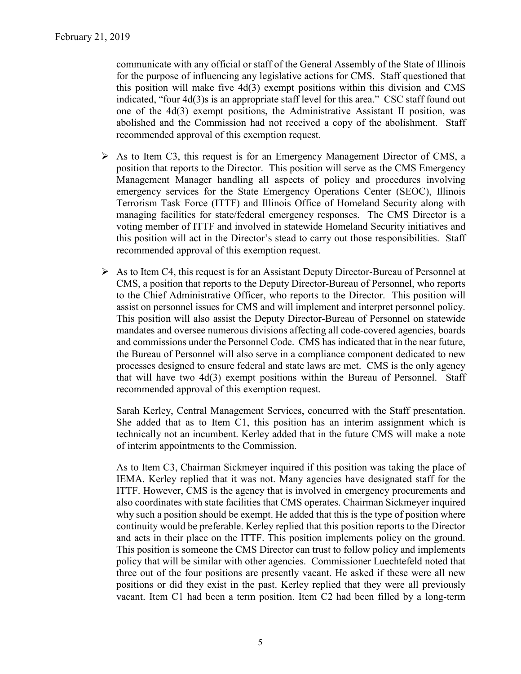communicate with any official or staff of the General Assembly of the State of Illinois for the purpose of influencing any legislative actions for CMS. Staff questioned that this position will make five 4d(3) exempt positions within this division and CMS indicated, "four 4d(3)s is an appropriate staff level for this area." CSC staff found out one of the 4d(3) exempt positions, the Administrative Assistant II position, was abolished and the Commission had not received a copy of the abolishment. Staff recommended approval of this exemption request.

- $\triangleright$  As to Item C3, this request is for an Emergency Management Director of CMS, a position that reports to the Director. This position will serve as the CMS Emergency Management Manager handling all aspects of policy and procedures involving emergency services for the State Emergency Operations Center (SEOC), Illinois Terrorism Task Force (ITTF) and Illinois Office of Homeland Security along with managing facilities for state/federal emergency responses. The CMS Director is a voting member of ITTF and involved in statewide Homeland Security initiatives and this position will act in the Director's stead to carry out those responsibilities. Staff recommended approval of this exemption request.
- $\triangleright$  As to Item C4, this request is for an Assistant Deputy Director-Bureau of Personnel at CMS, a position that reports to the Deputy Director-Bureau of Personnel, who reports to the Chief Administrative Officer, who reports to the Director. This position will assist on personnel issues for CMS and will implement and interpret personnel policy. This position will also assist the Deputy Director-Bureau of Personnel on statewide mandates and oversee numerous divisions affecting all code-covered agencies, boards and commissions under the Personnel Code. CMS has indicated that in the near future, the Bureau of Personnel will also serve in a compliance component dedicated to new processes designed to ensure federal and state laws are met. CMS is the only agency that will have two 4d(3) exempt positions within the Bureau of Personnel. Staff recommended approval of this exemption request.

Sarah Kerley, Central Management Services, concurred with the Staff presentation. She added that as to Item C1, this position has an interim assignment which is technically not an incumbent. Kerley added that in the future CMS will make a note of interim appointments to the Commission.

As to Item C3, Chairman Sickmeyer inquired if this position was taking the place of IEMA. Kerley replied that it was not. Many agencies have designated staff for the ITTF. However, CMS is the agency that is involved in emergency procurements and also coordinates with state facilities that CMS operates. Chairman Sickmeyer inquired why such a position should be exempt. He added that this is the type of position where continuity would be preferable. Kerley replied that this position reports to the Director and acts in their place on the ITTF. This position implements policy on the ground. This position is someone the CMS Director can trust to follow policy and implements policy that will be similar with other agencies. Commissioner Luechtefeld noted that three out of the four positions are presently vacant. He asked if these were all new positions or did they exist in the past. Kerley replied that they were all previously vacant. Item C1 had been a term position. Item C2 had been filled by a long-term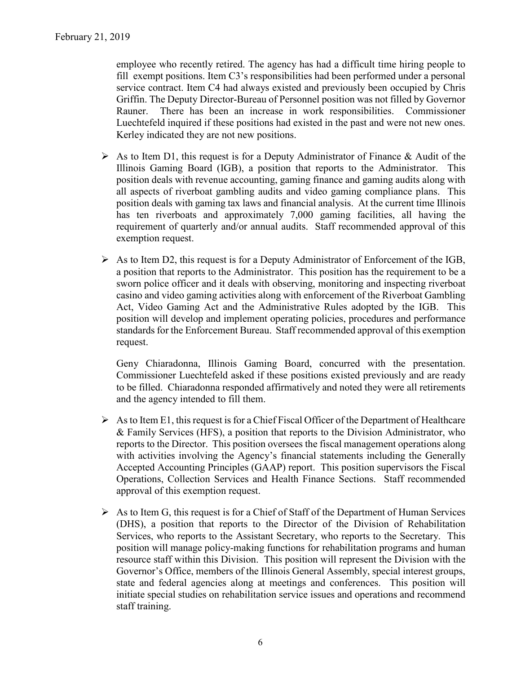employee who recently retired. The agency has had a difficult time hiring people to fill exempt positions. Item C3's responsibilities had been performed under a personal service contract. Item C4 had always existed and previously been occupied by Chris Griffin. The Deputy Director-Bureau of Personnel position was not filled by Governor Rauner. There has been an increase in work responsibilities. Commissioner Luechtefeld inquired if these positions had existed in the past and were not new ones. Kerley indicated they are not new positions.

- $\triangleright$  As to Item D1, this request is for a Deputy Administrator of Finance & Audit of the Illinois Gaming Board (IGB), a position that reports to the Administrator. This position deals with revenue accounting, gaming finance and gaming audits along with all aspects of riverboat gambling audits and video gaming compliance plans. This position deals with gaming tax laws and financial analysis. At the current time Illinois has ten riverboats and approximately 7,000 gaming facilities, all having the requirement of quarterly and/or annual audits. Staff recommended approval of this exemption request.
- $\triangleright$  As to Item D2, this request is for a Deputy Administrator of Enforcement of the IGB, a position that reports to the Administrator. This position has the requirement to be a sworn police officer and it deals with observing, monitoring and inspecting riverboat casino and video gaming activities along with enforcement of the Riverboat Gambling Act, Video Gaming Act and the Administrative Rules adopted by the IGB. This position will develop and implement operating policies, procedures and performance standards for the Enforcement Bureau. Staff recommended approval of this exemption request.

Geny Chiaradonna, Illinois Gaming Board, concurred with the presentation. Commissioner Luechtefeld asked if these positions existed previously and are ready to be filled. Chiaradonna responded affirmatively and noted they were all retirements and the agency intended to fill them.

- $\triangleright$  As to Item E1, this request is for a Chief Fiscal Officer of the Department of Healthcare & Family Services (HFS), a position that reports to the Division Administrator, who reports to the Director. This position oversees the fiscal management operations along with activities involving the Agency's financial statements including the Generally Accepted Accounting Principles (GAAP) report. This position supervisors the Fiscal Operations, Collection Services and Health Finance Sections. Staff recommended approval of this exemption request.
- $\triangleright$  As to Item G, this request is for a Chief of Staff of the Department of Human Services (DHS), a position that reports to the Director of the Division of Rehabilitation Services, who reports to the Assistant Secretary, who reports to the Secretary. This position will manage policy-making functions for rehabilitation programs and human resource staff within this Division. This position will represent the Division with the Governor's Office, members of the Illinois General Assembly, special interest groups, state and federal agencies along at meetings and conferences. This position will initiate special studies on rehabilitation service issues and operations and recommend staff training.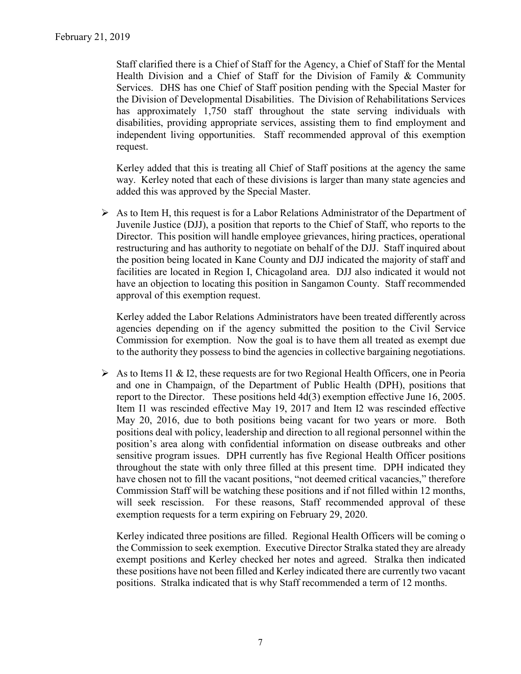Staff clarified there is a Chief of Staff for the Agency, a Chief of Staff for the Mental Health Division and a Chief of Staff for the Division of Family & Community Services. DHS has one Chief of Staff position pending with the Special Master for the Division of Developmental Disabilities. The Division of Rehabilitations Services has approximately 1,750 staff throughout the state serving individuals with disabilities, providing appropriate services, assisting them to find employment and independent living opportunities. Staff recommended approval of this exemption request.

Kerley added that this is treating all Chief of Staff positions at the agency the same way. Kerley noted that each of these divisions is larger than many state agencies and added this was approved by the Special Master.

 $\triangleright$  As to Item H, this request is for a Labor Relations Administrator of the Department of Juvenile Justice (DJJ), a position that reports to the Chief of Staff, who reports to the Director. This position will handle employee grievances, hiring practices, operational restructuring and has authority to negotiate on behalf of the DJJ. Staff inquired about the position being located in Kane County and DJJ indicated the majority of staff and facilities are located in Region I, Chicagoland area. DJJ also indicated it would not have an objection to locating this position in Sangamon County. Staff recommended approval of this exemption request.

Kerley added the Labor Relations Administrators have been treated differently across agencies depending on if the agency submitted the position to the Civil Service Commission for exemption. Now the goal is to have them all treated as exempt due to the authority they possess to bind the agencies in collective bargaining negotiations.

As to Items I1 & I2, these requests are for two Regional Health Officers, one in Peoria and one in Champaign, of the Department of Public Health (DPH), positions that report to the Director. These positions held 4d(3) exemption effective June 16, 2005. Item I1 was rescinded effective May 19, 2017 and Item I2 was rescinded effective May 20, 2016, due to both positions being vacant for two years or more. Both positions deal with policy, leadership and direction to all regional personnel within the position's area along with confidential information on disease outbreaks and other sensitive program issues. DPH currently has five Regional Health Officer positions throughout the state with only three filled at this present time. DPH indicated they have chosen not to fill the vacant positions, "not deemed critical vacancies," therefore Commission Staff will be watching these positions and if not filled within 12 months, will seek rescission. For these reasons, Staff recommended approval of these exemption requests for a term expiring on February 29, 2020.

Kerley indicated three positions are filled. Regional Health Officers will be coming o the Commission to seek exemption. Executive Director Stralka stated they are already exempt positions and Kerley checked her notes and agreed. Stralka then indicated these positions have not been filled and Kerley indicated there are currently two vacant positions. Stralka indicated that is why Staff recommended a term of 12 months.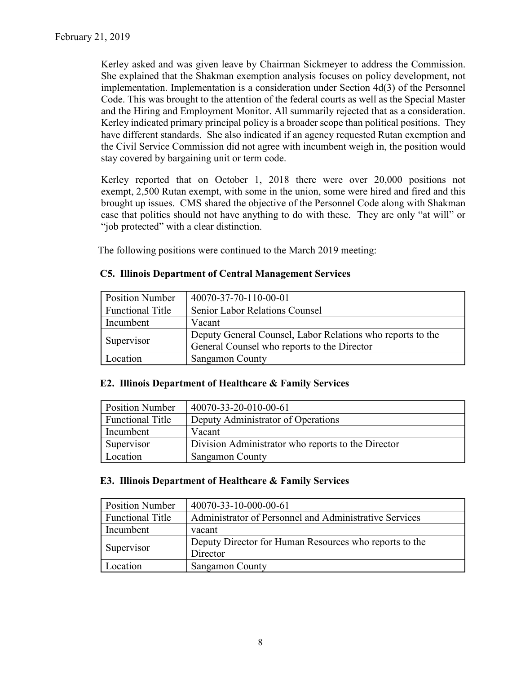Kerley asked and was given leave by Chairman Sickmeyer to address the Commission. She explained that the Shakman exemption analysis focuses on policy development, not implementation. Implementation is a consideration under Section 4d(3) of the Personnel Code. This was brought to the attention of the federal courts as well as the Special Master and the Hiring and Employment Monitor. All summarily rejected that as a consideration. Kerley indicated primary principal policy is a broader scope than political positions. They have different standards. She also indicated if an agency requested Rutan exemption and the Civil Service Commission did not agree with incumbent weigh in, the position would stay covered by bargaining unit or term code.

Kerley reported that on October 1, 2018 there were over 20,000 positions not exempt, 2,500 Rutan exempt, with some in the union, some were hired and fired and this brought up issues. CMS shared the objective of the Personnel Code along with Shakman case that politics should not have anything to do with these. They are only "at will" or "job protected" with a clear distinction.

The following positions were continued to the March 2019 meeting:

| <b>Position Number</b>  | 40070-37-70-110-00-01                                      |
|-------------------------|------------------------------------------------------------|
| <b>Functional Title</b> | <b>Senior Labor Relations Counsel</b>                      |
| Incumbent               | Vacant                                                     |
| Supervisor              | Deputy General Counsel, Labor Relations who reports to the |
|                         | General Counsel who reports to the Director                |
| Location                | Sangamon County                                            |

### **C5. Illinois Department of Central Management Services**

#### **E2. Illinois Department of Healthcare & Family Services**

| <b>Position Number</b>  | 40070-33-20-010-00-61                              |
|-------------------------|----------------------------------------------------|
| <b>Functional Title</b> | Deputy Administrator of Operations                 |
| Incumbent               | Vacant                                             |
| Supervisor              | Division Administrator who reports to the Director |
| Location                | Sangamon County                                    |

#### **E3. Illinois Department of Healthcare & Family Services**

| <b>Position Number</b>  | 40070-33-10-000-00-61                                  |
|-------------------------|--------------------------------------------------------|
| <b>Functional Title</b> | Administrator of Personnel and Administrative Services |
| Incumbent               | vacant                                                 |
| Supervisor              | Deputy Director for Human Resources who reports to the |
|                         | Director                                               |
| Location                | <b>Sangamon County</b>                                 |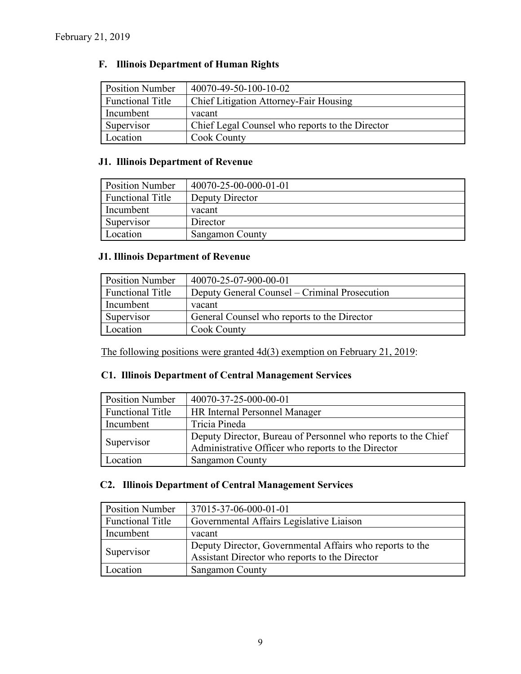# **F. Illinois Department of Human Rights**

| <b>Position Number</b>  | 40070-49-50-100-10-02                           |
|-------------------------|-------------------------------------------------|
| <b>Functional Title</b> | Chief Litigation Attorney-Fair Housing          |
| Incumbent               | vacant                                          |
| Supervisor              | Chief Legal Counsel who reports to the Director |
| Location                | Cook County                                     |

# **J1. Illinois Department of Revenue**

| <b>Position Number</b>  | 40070-25-00-000-01-01 |
|-------------------------|-----------------------|
| <b>Functional Title</b> | Deputy Director       |
| Incumbent               | vacant                |
| Supervisor              | Director              |
| Location                | Sangamon County       |

### **J1. Illinois Department of Revenue**

| <b>Position Number</b>  | 40070-25-07-900-00-01                         |
|-------------------------|-----------------------------------------------|
| <b>Functional Title</b> | Deputy General Counsel – Criminal Prosecution |
| Incumbent               | vacant                                        |
| Supervisor              | General Counsel who reports to the Director   |
| Location                | Cook County                                   |

The following positions were granted 4d(3) exemption on February 21, 2019:

### **C1. Illinois Department of Central Management Services**

| <b>Position Number</b>  | 40070-37-25-000-00-01                                         |
|-------------------------|---------------------------------------------------------------|
| <b>Functional Title</b> | <b>HR Internal Personnel Manager</b>                          |
| Incumbent               | Tricia Pineda                                                 |
| Supervisor              | Deputy Director, Bureau of Personnel who reports to the Chief |
|                         | Administrative Officer who reports to the Director            |
| Location                | <b>Sangamon County</b>                                        |

## **C2. Illinois Department of Central Management Services**

| <b>Position Number</b>  | 37015-37-06-000-01-01                                    |
|-------------------------|----------------------------------------------------------|
| <b>Functional Title</b> | Governmental Affairs Legislative Liaison                 |
| Incumbent               | vacant                                                   |
| Supervisor              | Deputy Director, Governmental Affairs who reports to the |
|                         | Assistant Director who reports to the Director           |
| Location                | <b>Sangamon County</b>                                   |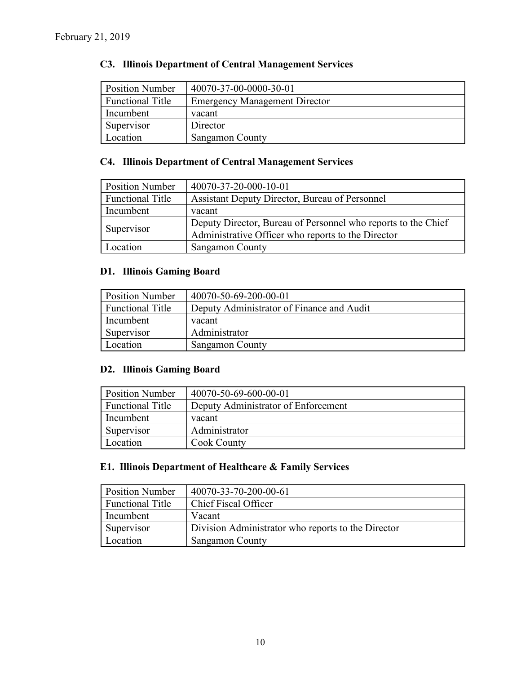# **C3. Illinois Department of Central Management Services**

| <b>Position Number</b>  | 40070-37-00-0000-30-01               |
|-------------------------|--------------------------------------|
| <b>Functional Title</b> | <b>Emergency Management Director</b> |
| Incumbent               | vacant                               |
| Supervisor              | Director                             |
| Location                | Sangamon County                      |

# **C4. Illinois Department of Central Management Services**

| <b>Position Number</b>  | 40070-37-20-000-10-01                                         |
|-------------------------|---------------------------------------------------------------|
| <b>Functional Title</b> | Assistant Deputy Director, Bureau of Personnel                |
| Incumbent               | vacant                                                        |
|                         | Deputy Director, Bureau of Personnel who reports to the Chief |
| Supervisor              | Administrative Officer who reports to the Director            |
| Location                | Sangamon County                                               |

### **D1. Illinois Gaming Board**

| <b>Position Number</b>  | 40070-50-69-200-00-01                     |
|-------------------------|-------------------------------------------|
| <b>Functional Title</b> | Deputy Administrator of Finance and Audit |
| Incumbent               | vacant                                    |
| Supervisor              | Administrator                             |
| Location                | <b>Sangamon County</b>                    |

### **D2. Illinois Gaming Board**

| <b>Position Number</b>  | 40070-50-69-600-00-01               |
|-------------------------|-------------------------------------|
| <b>Functional Title</b> | Deputy Administrator of Enforcement |
| Incumbent               | vacant                              |
| Supervisor              | Administrator                       |
| Location                | Cook County                         |

## **E1. Illinois Department of Healthcare & Family Services**

| <b>Position Number</b>  | 40070-33-70-200-00-61                              |
|-------------------------|----------------------------------------------------|
| <b>Functional Title</b> | Chief Fiscal Officer                               |
| Incumbent               | Vacant                                             |
| Supervisor              | Division Administrator who reports to the Director |
| Location                | <b>Sangamon County</b>                             |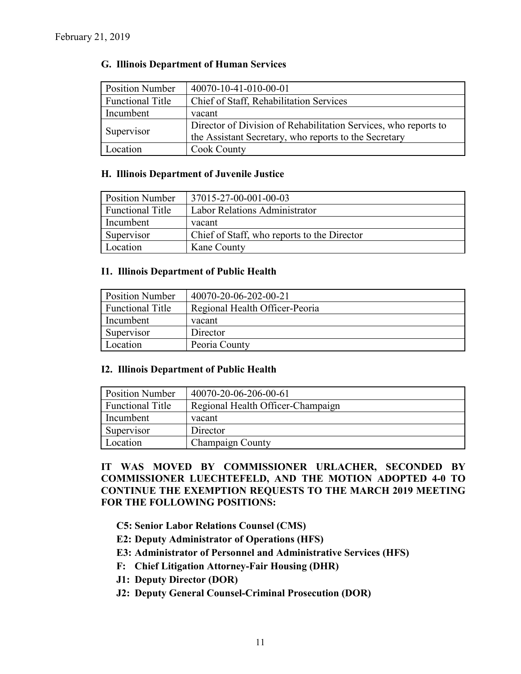#### **G. Illinois Department of Human Services**

| <b>Position Number</b>  | 40070-10-41-010-00-01                                           |  |
|-------------------------|-----------------------------------------------------------------|--|
| <b>Functional Title</b> | Chief of Staff, Rehabilitation Services                         |  |
| Incumbent               | vacant                                                          |  |
|                         | Director of Division of Rehabilitation Services, who reports to |  |
| Supervisor              | the Assistant Secretary, who reports to the Secretary           |  |
| Location                | <b>Cook County</b>                                              |  |

#### **H. Illinois Department of Juvenile Justice**

| <b>Position Number</b>  | 37015-27-00-001-00-03                       |
|-------------------------|---------------------------------------------|
| <b>Functional Title</b> | <b>Labor Relations Administrator</b>        |
| Incumbent               | vacant                                      |
| Supervisor              | Chief of Staff, who reports to the Director |
| Location                | Kane County                                 |

#### **I1. Illinois Department of Public Health**

| <b>Position Number</b>  | 40070-20-06-202-00-21          |
|-------------------------|--------------------------------|
| <b>Functional Title</b> | Regional Health Officer-Peoria |
| Incumbent               | vacant                         |
| Supervisor              | Director                       |
| Location                | Peoria County                  |

#### **I2. Illinois Department of Public Health**

| <b>Position Number</b>  | 40070-20-06-206-00-61             |
|-------------------------|-----------------------------------|
| <b>Functional Title</b> | Regional Health Officer-Champaign |
| Incumbent               | vacant                            |
| Supervisor              | Director                          |
| Location                | Champaign County                  |

### **IT WAS MOVED BY COMMISSIONER URLACHER, SECONDED BY COMMISSIONER LUECHTEFELD, AND THE MOTION ADOPTED 4-0 TO CONTINUE THE EXEMPTION REQUESTS TO THE MARCH 2019 MEETING FOR THE FOLLOWING POSITIONS:**

- **C5: Senior Labor Relations Counsel (CMS)**
- **E2: Deputy Administrator of Operations (HFS)**
- **E3: Administrator of Personnel and Administrative Services (HFS)**
- **F: Chief Litigation Attorney-Fair Housing (DHR)**
- **J1: Deputy Director (DOR)**
- **J2: Deputy General Counsel-Criminal Prosecution (DOR)**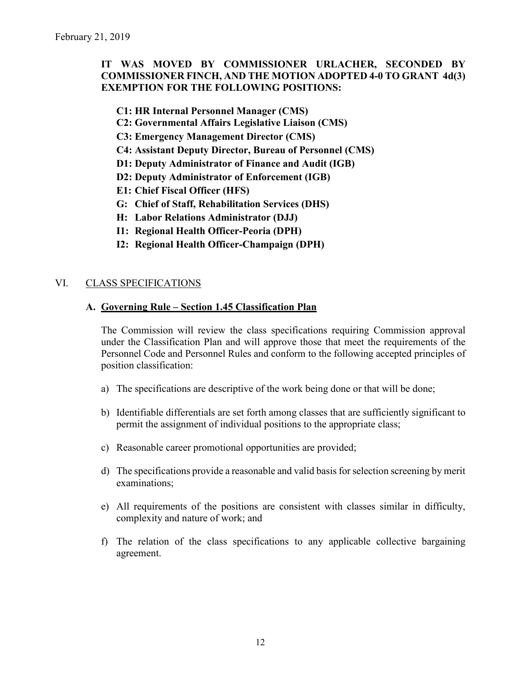## **IT WAS MOVED BY COMMISSIONER URLACHER, SECONDED BY COMMISSIONER FINCH, AND THE MOTION ADOPTED 4-0 TO GRANT 4d(3) EXEMPTION FOR THE FOLLOWING POSITIONS:**

**C1: HR Internal Personnel Manager (CMS)**

- **C2: Governmental Affairs Legislative Liaison (CMS)**
- **C3: Emergency Management Director (CMS)**
- **C4: Assistant Deputy Director, Bureau of Personnel (CMS)**
- **D1: Deputy Administrator of Finance and Audit (IGB)**
- **D2: Deputy Administrator of Enforcement (IGB)**
- **E1: Chief Fiscal Officer (HFS)**
- **G: Chief of Staff, Rehabilitation Services (DHS)**
- **H: Labor Relations Administrator (DJJ)**
- **I1: Regional Health Officer-Peoria (DPH)**
- **I2: Regional Health Officer-Champaign (DPH)**

### VI. CLASS SPECIFICATIONS

#### **A. Governing Rule – Section 1.45 Classification Plan**

The Commission will review the class specifications requiring Commission approval under the Classification Plan and will approve those that meet the requirements of the Personnel Code and Personnel Rules and conform to the following accepted principles of position classification:

- a) The specifications are descriptive of the work being done or that will be done;
- b) Identifiable differentials are set forth among classes that are sufficiently significant to permit the assignment of individual positions to the appropriate class;
- c) Reasonable career promotional opportunities are provided;
- d) The specifications provide a reasonable and valid basis for selection screening by merit examinations;
- e) All requirements of the positions are consistent with classes similar in difficulty, complexity and nature of work; and
- f) The relation of the class specifications to any applicable collective bargaining agreement.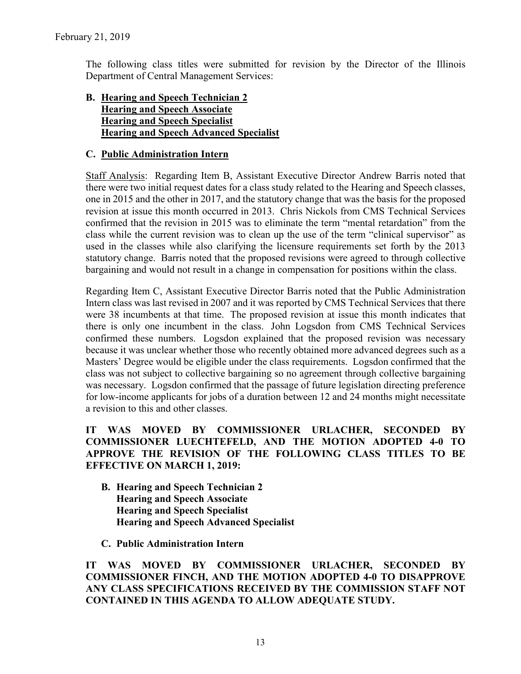The following class titles were submitted for revision by the Director of the Illinois Department of Central Management Services:

### **B. Hearing and Speech Technician 2 Hearing and Speech Associate Hearing and Speech Specialist Hearing and Speech Advanced Specialist**

### **C. Public Administration Intern**

Staff Analysis: Regarding Item B, Assistant Executive Director Andrew Barris noted that there were two initial request dates for a class study related to the Hearing and Speech classes, one in 2015 and the other in 2017, and the statutory change that was the basis for the proposed revision at issue this month occurred in 2013. Chris Nickols from CMS Technical Services confirmed that the revision in 2015 was to eliminate the term "mental retardation" from the class while the current revision was to clean up the use of the term "clinical supervisor" as used in the classes while also clarifying the licensure requirements set forth by the 2013 statutory change. Barris noted that the proposed revisions were agreed to through collective bargaining and would not result in a change in compensation for positions within the class.

Regarding Item C, Assistant Executive Director Barris noted that the Public Administration Intern class was last revised in 2007 and it was reported by CMS Technical Services that there were 38 incumbents at that time. The proposed revision at issue this month indicates that there is only one incumbent in the class. John Logsdon from CMS Technical Services confirmed these numbers. Logsdon explained that the proposed revision was necessary because it was unclear whether those who recently obtained more advanced degrees such as a Masters' Degree would be eligible under the class requirements. Logsdon confirmed that the class was not subject to collective bargaining so no agreement through collective bargaining was necessary. Logsdon confirmed that the passage of future legislation directing preference for low-income applicants for jobs of a duration between 12 and 24 months might necessitate a revision to this and other classes.

**IT WAS MOVED BY COMMISSIONER URLACHER, SECONDED BY COMMISSIONER LUECHTEFELD, AND THE MOTION ADOPTED 4-0 TO APPROVE THE REVISION OF THE FOLLOWING CLASS TITLES TO BE EFFECTIVE ON MARCH 1, 2019:**

- **B. Hearing and Speech Technician 2 Hearing and Speech Associate Hearing and Speech Specialist Hearing and Speech Advanced Specialist**
- **C. Public Administration Intern**

**IT WAS MOVED BY COMMISSIONER URLACHER, SECONDED BY COMMISSIONER FINCH, AND THE MOTION ADOPTED 4-0 TO DISAPPROVE ANY CLASS SPECIFICATIONS RECEIVED BY THE COMMISSION STAFF NOT CONTAINED IN THIS AGENDA TO ALLOW ADEQUATE STUDY.**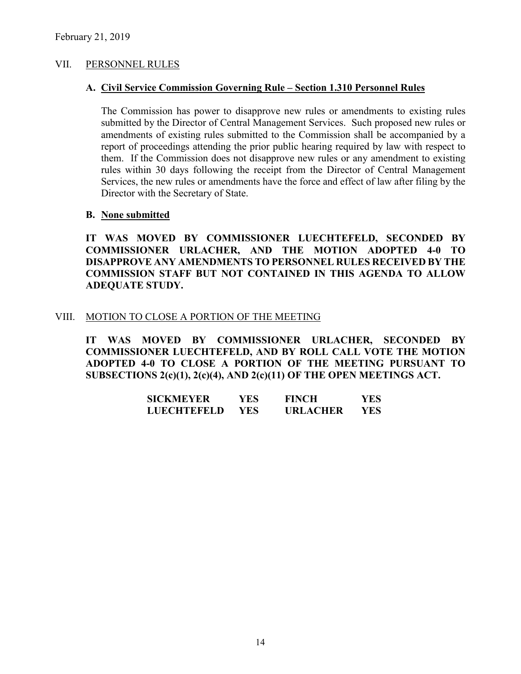#### VII. PERSONNEL RULES

#### **A. Civil Service Commission Governing Rule – Section 1.310 Personnel Rules**

The Commission has power to disapprove new rules or amendments to existing rules submitted by the Director of Central Management Services. Such proposed new rules or amendments of existing rules submitted to the Commission shall be accompanied by a report of proceedings attending the prior public hearing required by law with respect to them. If the Commission does not disapprove new rules or any amendment to existing rules within 30 days following the receipt from the Director of Central Management Services, the new rules or amendments have the force and effect of law after filing by the Director with the Secretary of State.

#### **B. None submitted**

**IT WAS MOVED BY COMMISSIONER LUECHTEFELD, SECONDED BY COMMISSIONER URLACHER, AND THE MOTION ADOPTED 4-0 TO DISAPPROVE ANY AMENDMENTS TO PERSONNEL RULES RECEIVED BY THE COMMISSION STAFF BUT NOT CONTAINED IN THIS AGENDA TO ALLOW ADEQUATE STUDY.** 

#### VIII. MOTION TO CLOSE A PORTION OF THE MEETING

**IT WAS MOVED BY COMMISSIONER URLACHER, SECONDED BY COMMISSIONER LUECHTEFELD, AND BY ROLL CALL VOTE THE MOTION ADOPTED 4-0 TO CLOSE A PORTION OF THE MEETING PURSUANT TO SUBSECTIONS 2(c)(1), 2(c)(4), AND 2(c)(11) OF THE OPEN MEETINGS ACT.**

| <b>SICKMEYER</b>   | YES. | <b>FINCH</b>    | YES. |
|--------------------|------|-----------------|------|
| <b>LUECHTEFELD</b> | YES. | <b>URLACHER</b> | YES. |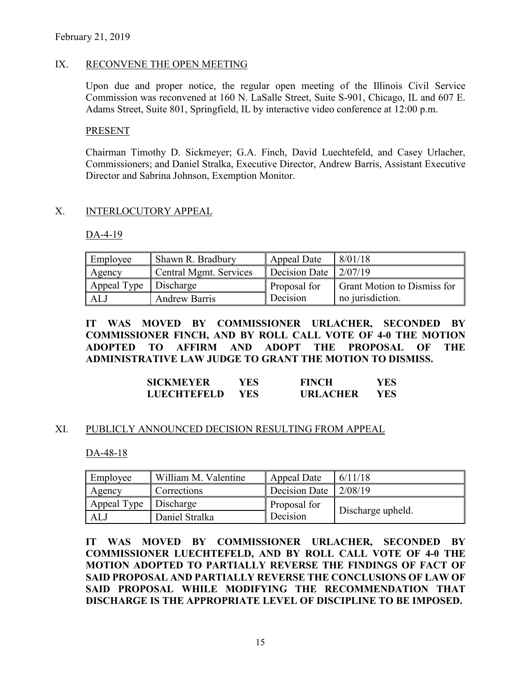### IX. RECONVENE THE OPEN MEETING

Upon due and proper notice, the regular open meeting of the Illinois Civil Service Commission was reconvened at 160 N. LaSalle Street, Suite S-901, Chicago, IL and 607 E. Adams Street, Suite 801, Springfield, IL by interactive video conference at 12:00 p.m.

#### **PRESENT**

Chairman Timothy D. Sickmeyer; G.A. Finch, David Luechtefeld, and Casey Urlacher, Commissioners; and Daniel Stralka, Executive Director, Andrew Barris, Assistant Executive Director and Sabrina Johnson, Exemption Monitor.

### X. INTERLOCUTORY APPEAL

DA-4-19

| Employee                | Shawn R. Bradbury      | Appeal Date   | 8/01/18                            |
|-------------------------|------------------------|---------------|------------------------------------|
| Agency                  | Central Mgmt. Services | Decision Date | 12/07/19                           |
| Appeal Type   Discharge |                        | Proposal for  | <b>Grant Motion to Dismiss for</b> |
| ALJ                     | <b>Andrew Barris</b>   | Decision      | no jurisdiction.                   |

**IT WAS MOVED BY COMMISSIONER URLACHER, SECONDED BY COMMISSIONER FINCH, AND BY ROLL CALL VOTE OF 4-0 THE MOTION ADOPTED TO AFFIRM AND ADOPT THE PROPOSAL OF THE ADMINISTRATIVE LAW JUDGE TO GRANT THE MOTION TO DISMISS.**

| <b>SICKMEYER</b>   | YES- | <b>FINCH</b>    | YES |
|--------------------|------|-----------------|-----|
| <b>LUECHTEFELD</b> | YES. | <b>URLACHER</b> | YES |

#### XI. PUBLICLY ANNOUNCED DECISION RESULTING FROM APPEAL

DA-48-18

| Employee    | William M. Valentine | Appeal Date   | 6/11/18           |
|-------------|----------------------|---------------|-------------------|
| Agency      | <b>Corrections</b>   | Decision Date | 2/08/19           |
| Appeal Type | Discharge            | Proposal for  |                   |
| ALJ         | Daniel Stralka       | Decision      | Discharge upheld. |

**IT WAS MOVED BY COMMISSIONER URLACHER, SECONDED BY COMMISSIONER LUECHTEFELD, AND BY ROLL CALL VOTE OF 4-0 THE MOTION ADOPTED TO PARTIALLY REVERSE THE FINDINGS OF FACT OF SAID PROPOSAL AND PARTIALLY REVERSE THE CONCLUSIONS OF LAW OF SAID PROPOSAL WHILE MODIFYING THE RECOMMENDATION THAT DISCHARGE IS THE APPROPRIATE LEVEL OF DISCIPLINE TO BE IMPOSED.**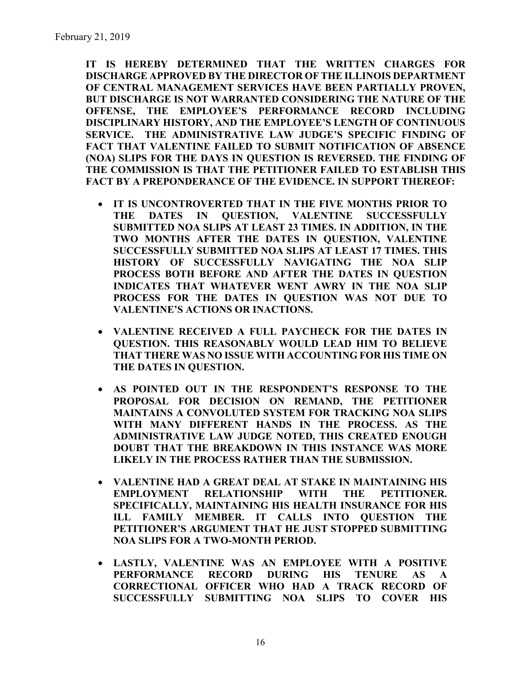**IT IS HEREBY DETERMINED THAT THE WRITTEN CHARGES FOR DISCHARGE APPROVED BY THE DIRECTOR OF THE ILLINOIS DEPARTMENT OF CENTRAL MANAGEMENT SERVICES HAVE BEEN PARTIALLY PROVEN, BUT DISCHARGE IS NOT WARRANTED CONSIDERING THE NATURE OF THE OFFENSE, THE EMPLOYEE'S PERFORMANCE RECORD INCLUDING DISCIPLINARY HISTORY, AND THE EMPLOYEE'S LENGTH OF CONTINUOUS SERVICE. THE ADMINISTRATIVE LAW JUDGE'S SPECIFIC FINDING OF FACT THAT VALENTINE FAILED TO SUBMIT NOTIFICATION OF ABSENCE (NOA) SLIPS FOR THE DAYS IN QUESTION IS REVERSED. THE FINDING OF THE COMMISSION IS THAT THE PETITIONER FAILED TO ESTABLISH THIS FACT BY A PREPONDERANCE OF THE EVIDENCE. IN SUPPORT THEREOF:**

- **IT IS UNCONTROVERTED THAT IN THE FIVE MONTHS PRIOR TO THE DATES IN QUESTION, VALENTINE SUCCESSFULLY SUBMITTED NOA SLIPS AT LEAST 23 TIMES. IN ADDITION, IN THE TWO MONTHS AFTER THE DATES IN QUESTION, VALENTINE SUCCESSFULLY SUBMITTED NOA SLIPS AT LEAST 17 TIMES. THIS HISTORY OF SUCCESSFULLY NAVIGATING THE NOA SLIP PROCESS BOTH BEFORE AND AFTER THE DATES IN QUESTION INDICATES THAT WHATEVER WENT AWRY IN THE NOA SLIP PROCESS FOR THE DATES IN QUESTION WAS NOT DUE TO VALENTINE'S ACTIONS OR INACTIONS.**
- **VALENTINE RECEIVED A FULL PAYCHECK FOR THE DATES IN QUESTION. THIS REASONABLY WOULD LEAD HIM TO BELIEVE THAT THERE WAS NO ISSUE WITH ACCOUNTING FOR HIS TIME ON THE DATES IN QUESTION.**
- **AS POINTED OUT IN THE RESPONDENT'S RESPONSE TO THE PROPOSAL FOR DECISION ON REMAND, THE PETITIONER MAINTAINS A CONVOLUTED SYSTEM FOR TRACKING NOA SLIPS WITH MANY DIFFERENT HANDS IN THE PROCESS. AS THE ADMINISTRATIVE LAW JUDGE NOTED, THIS CREATED ENOUGH DOUBT THAT THE BREAKDOWN IN THIS INSTANCE WAS MORE LIKELY IN THE PROCESS RATHER THAN THE SUBMISSION.**
- **VALENTINE HAD A GREAT DEAL AT STAKE IN MAINTAINING HIS EMPLOYMENT RELATIONSHIP WITH THE PETITIONER. SPECIFICALLY, MAINTAINING HIS HEALTH INSURANCE FOR HIS ILL FAMILY MEMBER. IT CALLS INTO QUESTION THE PETITIONER'S ARGUMENT THAT HE JUST STOPPED SUBMITTING NOA SLIPS FOR A TWO-MONTH PERIOD.**
- **LASTLY, VALENTINE WAS AN EMPLOYEE WITH A POSITIVE PERFORMANCE RECORD DURING HIS TENURE AS A CORRECTIONAL OFFICER WHO HAD A TRACK RECORD OF SUCCESSFULLY SUBMITTING NOA SLIPS TO COVER HIS**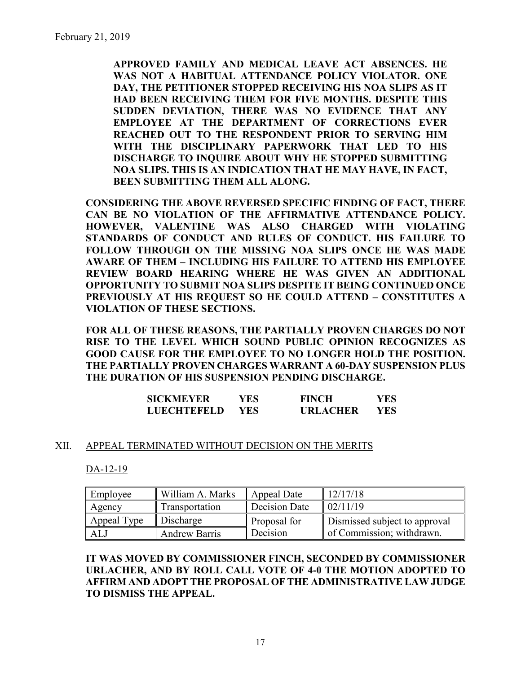**APPROVED FAMILY AND MEDICAL LEAVE ACT ABSENCES. HE WAS NOT A HABITUAL ATTENDANCE POLICY VIOLATOR. ONE DAY, THE PETITIONER STOPPED RECEIVING HIS NOA SLIPS AS IT HAD BEEN RECEIVING THEM FOR FIVE MONTHS. DESPITE THIS SUDDEN DEVIATION, THERE WAS NO EVIDENCE THAT ANY EMPLOYEE AT THE DEPARTMENT OF CORRECTIONS EVER REACHED OUT TO THE RESPONDENT PRIOR TO SERVING HIM WITH THE DISCIPLINARY PAPERWORK THAT LED TO HIS DISCHARGE TO INQUIRE ABOUT WHY HE STOPPED SUBMITTING NOA SLIPS. THIS IS AN INDICATION THAT HE MAY HAVE, IN FACT, BEEN SUBMITTING THEM ALL ALONG.**

**CONSIDERING THE ABOVE REVERSED SPECIFIC FINDING OF FACT, THERE CAN BE NO VIOLATION OF THE AFFIRMATIVE ATTENDANCE POLICY. HOWEVER, VALENTINE WAS ALSO CHARGED WITH VIOLATING STANDARDS OF CONDUCT AND RULES OF CONDUCT. HIS FAILURE TO FOLLOW THROUGH ON THE MISSING NOA SLIPS ONCE HE WAS MADE AWARE OF THEM – INCLUDING HIS FAILURE TO ATTEND HIS EMPLOYEE REVIEW BOARD HEARING WHERE HE WAS GIVEN AN ADDITIONAL OPPORTUNITY TO SUBMIT NOA SLIPS DESPITE IT BEING CONTINUED ONCE PREVIOUSLY AT HIS REQUEST SO HE COULD ATTEND – CONSTITUTES A VIOLATION OF THESE SECTIONS.** 

**FOR ALL OF THESE REASONS, THE PARTIALLY PROVEN CHARGES DO NOT RISE TO THE LEVEL WHICH SOUND PUBLIC OPINION RECOGNIZES AS GOOD CAUSE FOR THE EMPLOYEE TO NO LONGER HOLD THE POSITION. THE PARTIALLY PROVEN CHARGES WARRANT A 60-DAY SUSPENSION PLUS THE DURATION OF HIS SUSPENSION PENDING DISCHARGE.** 

| <b>SICKMEYER</b>   | <b>YES</b> | <b>FINCH</b>    | YES |
|--------------------|------------|-----------------|-----|
| <b>LUECHTEFELD</b> | YES.       | <b>URLACHER</b> | YES |

#### XII. APPEAL TERMINATED WITHOUT DECISION ON THE MERITS

DA-12-19

| Employee    | William A. Marks     | Appeal Date   | 12/17/18                      |
|-------------|----------------------|---------------|-------------------------------|
| Agency      | Transportation       | Decision Date | 02/11/19                      |
| Appeal Type | Discharge            | Proposal for  | Dismissed subject to approval |
| ALJ         | <b>Andrew Barris</b> | Decision      | of Commission; withdrawn.     |

**IT WAS MOVED BY COMMISSIONER FINCH, SECONDED BY COMMISSIONER URLACHER, AND BY ROLL CALL VOTE OF 4-0 THE MOTION ADOPTED TO AFFIRM AND ADOPT THE PROPOSAL OF THE ADMINISTRATIVE LAW JUDGE TO DISMISS THE APPEAL.**